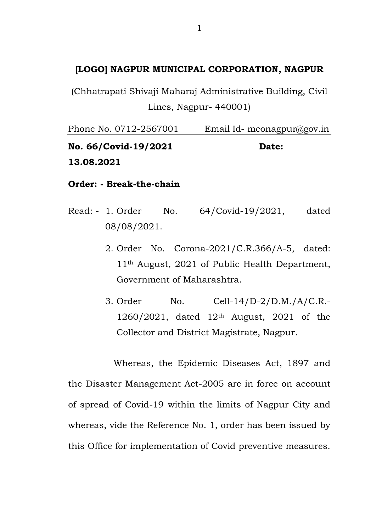# **[LOGO] NAGPUR MUNICIPAL CORPORATION, NAGPUR**

(Chhatrapati Shivaji Maharaj Administrative Building, Civil Lines, Nagpur- 440001)

Phone No. 0712-2567001 Email Id- mconagpur@gov.in **No. 66/Covid-19/2021 Date: 13.08.2021**

**Order: - Break-the-chain**

- Read: 1. Order No. 64/Covid-19/2021, dated 08/08/2021.
	- 2. Order No. Corona-2021/C.R.366/A-5, dated: 11th August, 2021 of Public Health Department, Government of Maharashtra.
	- 3. Order No. Cell-14/D-2/D.M./A/C.R.-  $1260/2021$ , dated  $12<sup>th</sup>$  August, 2021 of the Collector and District Magistrate, Nagpur.

Whereas, the Epidemic Diseases Act, 1897 and the Disaster Management Act-2005 are in force on account of spread of Covid-19 within the limits of Nagpur City and whereas, vide the Reference No. 1, order has been issued by this Office for implementation of Covid preventive measures.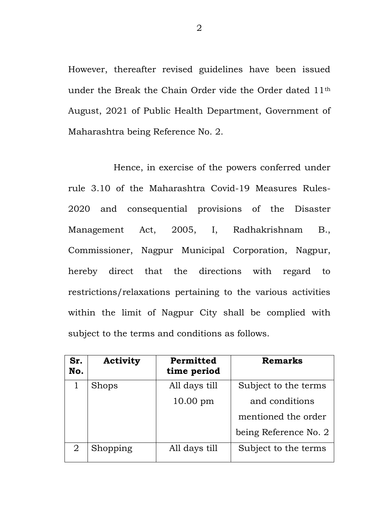However, thereafter revised guidelines have been issued under the Break the Chain Order vide the Order dated 11th August, 2021 of Public Health Department, Government of Maharashtra being Reference No. 2.

Hence, in exercise of the powers conferred under rule 3.10 of the Maharashtra Covid-19 Measures Rules-2020 and consequential provisions of the Disaster Management Act, 2005, I, Radhakrishnam B., Commissioner, Nagpur Municipal Corporation, Nagpur, hereby direct that the directions with regard to restrictions/relaxations pertaining to the various activities within the limit of Nagpur City shall be complied with subject to the terms and conditions as follows.

| Sr.<br>No. | <b>Activity</b> | Permitted<br>time period | <b>Remarks</b>        |
|------------|-----------------|--------------------------|-----------------------|
|            | <b>Shops</b>    | All days till            | Subject to the terms  |
|            |                 | $10.00 \text{ pm}$       | and conditions        |
|            |                 |                          | mentioned the order   |
|            |                 |                          | being Reference No. 2 |
|            | Shopping        | All days till            | Subject to the terms  |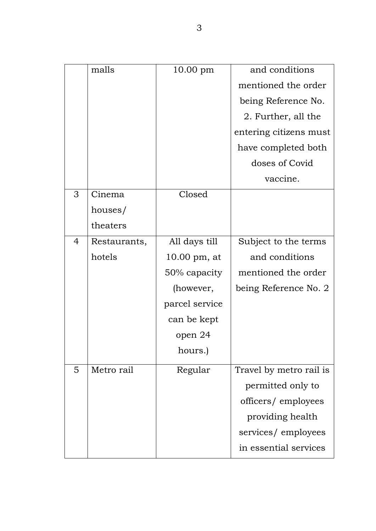|                | malls        | $10.00$ pm              | and conditions          |
|----------------|--------------|-------------------------|-------------------------|
|                |              |                         | mentioned the order     |
|                |              |                         | being Reference No.     |
|                |              |                         | 2. Further, all the     |
|                |              |                         | entering citizens must  |
|                |              |                         | have completed both     |
|                |              |                         | doses of Covid          |
|                |              |                         | vaccine.                |
| 3              | Cinema       | Closed                  |                         |
|                | houses/      |                         |                         |
|                | theaters     |                         |                         |
| $\overline{4}$ | Restaurants, | All days till           | Subject to the terms    |
|                | hotels       | $10.00 \text{ pm}$ , at | and conditions          |
|                |              | 50% capacity            | mentioned the order     |
|                |              | (however,               | being Reference No. 2   |
|                |              | parcel service          |                         |
|                |              | can be kept             |                         |
|                |              | open 24                 |                         |
|                |              | hours.)                 |                         |
| 5              | Metro rail   | Regular                 | Travel by metro rail is |
|                |              |                         | permitted only to       |
|                |              |                         | officers/employees      |
|                |              |                         | providing health        |
|                |              |                         | services/employees      |
|                |              |                         | in essential services   |
|                |              |                         |                         |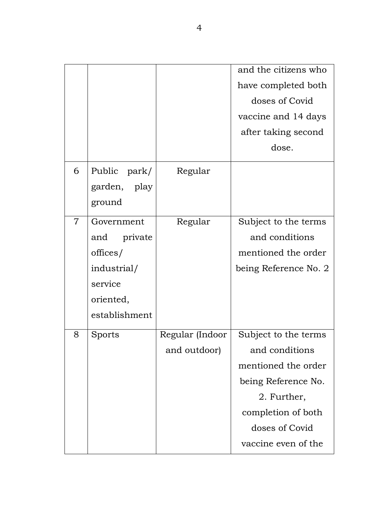|                |               |                 | and the citizens who  |
|----------------|---------------|-----------------|-----------------------|
|                |               |                 | have completed both   |
|                |               |                 | doses of Covid        |
|                |               |                 | vaccine and 14 days   |
|                |               |                 | after taking second   |
|                |               |                 | dose.                 |
| 6              | Public park/  | Regular         |                       |
|                | garden, play  |                 |                       |
|                | ground        |                 |                       |
| $\overline{7}$ | Government    | Regular         | Subject to the terms  |
|                | and private   |                 | and conditions        |
|                | offices/      |                 | mentioned the order   |
|                | industrial/   |                 | being Reference No. 2 |
|                | service       |                 |                       |
|                | oriented,     |                 |                       |
|                | establishment |                 |                       |
| 8              | Sports        | Regular (Indoor | Subject to the terms  |
|                |               | and outdoor)    | and conditions        |
|                |               |                 | mentioned the order   |
|                |               |                 | being Reference No.   |
|                |               |                 | 2. Further,           |
|                |               |                 | completion of both    |
|                |               |                 | doses of Covid        |
|                |               |                 | vaccine even of the   |
|                |               |                 |                       |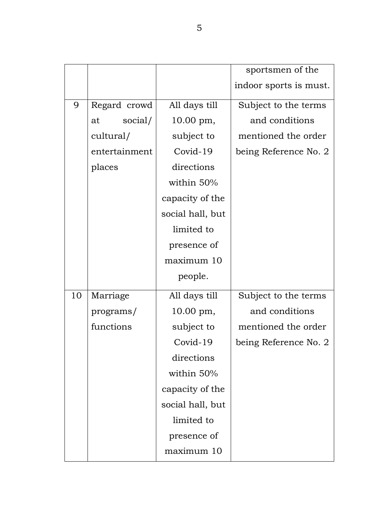|    |               |                  | sportsmen of the       |
|----|---------------|------------------|------------------------|
|    |               |                  | indoor sports is must. |
| 9  | Regard crowd  | All days till    | Subject to the terms   |
|    | social/<br>at | 10.00 pm,        | and conditions         |
|    | cultural/     | subject to       | mentioned the order    |
|    | entertainment | Covid-19         | being Reference No. 2  |
|    | places        | directions       |                        |
|    |               | within 50%       |                        |
|    |               | capacity of the  |                        |
|    |               | social hall, but |                        |
|    |               | limited to       |                        |
|    |               | presence of      |                        |
|    |               | maximum 10       |                        |
|    |               | people.          |                        |
| 10 | Marriage      | All days till    | Subject to the terms   |
|    | programs/     | 10.00 pm,        | and conditions         |
|    | functions     | subject to       | mentioned the order    |
|    |               | Covid-19         | being Reference No. 2  |
|    |               | directions       |                        |
|    |               | within 50%       |                        |
|    |               | capacity of the  |                        |
|    |               | social hall, but |                        |
|    |               | limited to       |                        |
|    |               | presence of      |                        |
|    |               | maximum 10       |                        |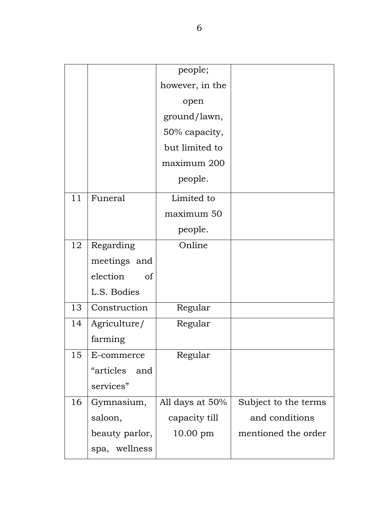|    |                  | people;         |                      |
|----|------------------|-----------------|----------------------|
|    |                  | however, in the |                      |
|    |                  | open            |                      |
|    |                  | ground/lawn,    |                      |
|    |                  | 50% capacity,   |                      |
|    |                  | but limited to  |                      |
|    |                  | maximum 200     |                      |
|    |                  | people.         |                      |
| 11 | Funeral          | Limited to      |                      |
|    |                  | maximum 50      |                      |
|    |                  | people.         |                      |
| 12 | Regarding        | Online          |                      |
|    | meetings and     |                 |                      |
|    | election<br>of   |                 |                      |
|    | L.S. Bodies      |                 |                      |
| 13 | Construction     | Regular         |                      |
| 14 | Agriculture/     | Regular         |                      |
|    | farming          |                 |                      |
| 15 | E-commerce       | Regular         |                      |
|    | "articles<br>and |                 |                      |
|    | services"        |                 |                      |
| 16 | Gymnasium,       | All days at 50% | Subject to the terms |
|    | saloon,          | capacity till   | and conditions       |
|    | beauty parlor,   | $10.00$ pm      | mentioned the order  |
|    | spa, wellness    |                 |                      |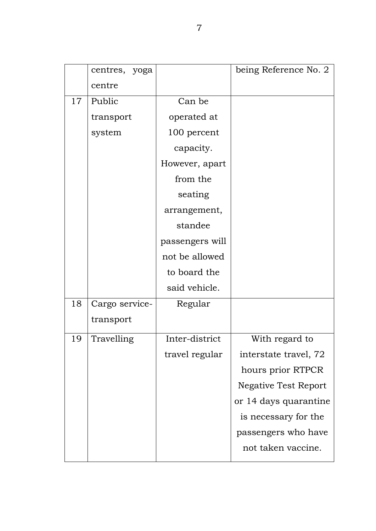|    | centres, yoga  |                 | being Reference No. 2       |
|----|----------------|-----------------|-----------------------------|
|    | centre         |                 |                             |
| 17 | Public         | Can be          |                             |
|    | transport      | operated at     |                             |
|    | system         | 100 percent     |                             |
|    |                | capacity.       |                             |
|    |                | However, apart  |                             |
|    |                | from the        |                             |
|    |                | seating         |                             |
|    |                | arrangement,    |                             |
|    |                | standee         |                             |
|    |                | passengers will |                             |
|    |                | not be allowed  |                             |
|    |                | to board the    |                             |
|    |                | said vehicle.   |                             |
| 18 | Cargo service- | Regular         |                             |
|    | transport      |                 |                             |
| 19 | Travelling     | Inter-district  | With regard to              |
|    |                | travel regular  | interstate travel, 72       |
|    |                |                 | hours prior RTPCR           |
|    |                |                 | <b>Negative Test Report</b> |
|    |                |                 | or 14 days quarantine       |
|    |                |                 | is necessary for the        |
|    |                |                 | passengers who have         |
|    |                |                 | not taken vaccine.          |
|    |                |                 |                             |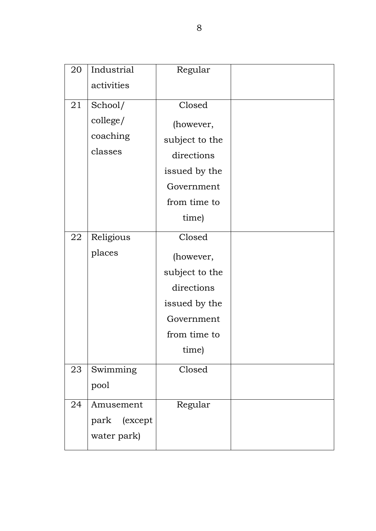| 20 | Industrial   | Regular        |  |
|----|--------------|----------------|--|
|    | activities   |                |  |
| 21 | School/      | Closed         |  |
|    | college/     | (however,      |  |
|    | coaching     | subject to the |  |
|    | classes      | directions     |  |
|    |              | issued by the  |  |
|    |              | Government     |  |
|    |              | from time to   |  |
|    |              | time)          |  |
| 22 | Religious    | Closed         |  |
|    | places       | (however,      |  |
|    |              | subject to the |  |
|    |              | directions     |  |
|    |              | issued by the  |  |
|    |              | Government     |  |
|    |              | from time to   |  |
|    |              | time)          |  |
| 23 | Swimming     | Closed         |  |
|    | pool         |                |  |
| 24 | Amusement    | Regular        |  |
|    | park (except |                |  |
|    | water park)  |                |  |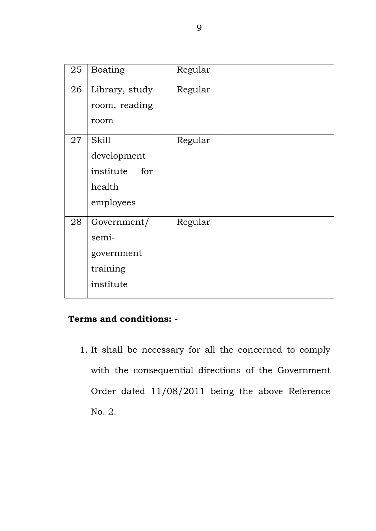| 25 | <b>Boating</b>   | Regular |  |
|----|------------------|---------|--|
| 26 | Library, study   | Regular |  |
|    | room, reading    |         |  |
|    | room             |         |  |
| 27 | <b>Skill</b>     | Regular |  |
|    | development      |         |  |
|    | institute<br>for |         |  |
|    | health           |         |  |
|    | employees        |         |  |
| 28 | Government/      | Regular |  |
|    | semi-            |         |  |
|    | government       |         |  |
|    | training         |         |  |
|    | institute        |         |  |
|    |                  |         |  |

# **Terms and conditions: -**

1. It shall be necessary for all the concerned to comply with the consequential directions of the Government Order dated 11/08/2011 being the above Reference No. 2.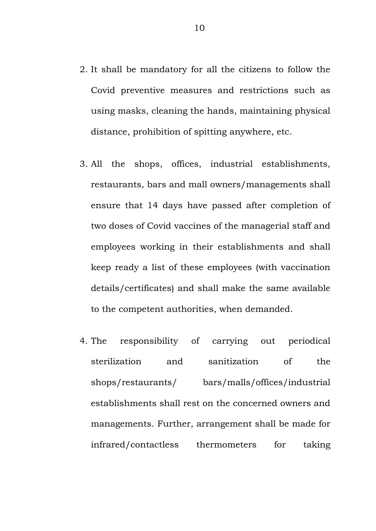- 2. It shall be mandatory for all the citizens to follow the Covid preventive measures and restrictions such as using masks, cleaning the hands, maintaining physical distance, prohibition of spitting anywhere, etc.
- 3. All the shops, offices, industrial establishments, restaurants, bars and mall owners/managements shall ensure that 14 days have passed after completion of two doses of Covid vaccines of the managerial staff and employees working in their establishments and shall keep ready a list of these employees (with vaccination details/certificates) and shall make the same available to the competent authorities, when demanded.
- 4. The responsibility of carrying out periodical sterilization and sanitization of the shops/restaurants/ bars/malls/offices/industrial establishments shall rest on the concerned owners and managements. Further, arrangement shall be made for infrared/contactless thermometers for taking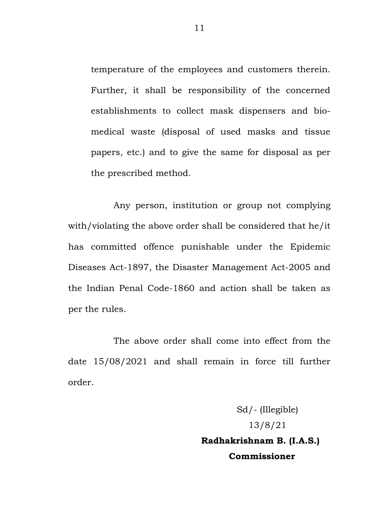temperature of the employees and customers therein. Further, it shall be responsibility of the concerned establishments to collect mask dispensers and biomedical waste (disposal of used masks and tissue papers, etc.) and to give the same for disposal as per the prescribed method.

Any person, institution or group not complying with/violating the above order shall be considered that he/it has committed offence punishable under the Epidemic Diseases Act-1897, the Disaster Management Act-2005 and the Indian Penal Code-1860 and action shall be taken as per the rules.

The above order shall come into effect from the date 15/08/2021 and shall remain in force till further order.

> Sd/- (Illegible) 13/8/21 **Radhakrishnam B. (I.A.S.) Commissioner**